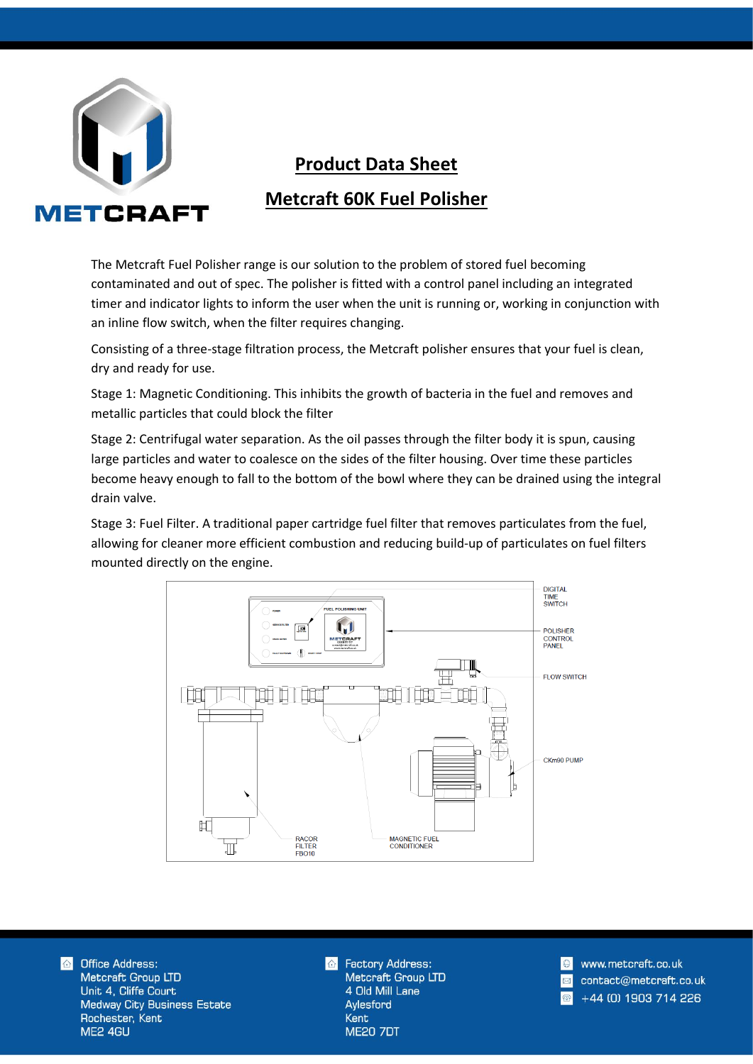

## **Product Data Sheet Metcraft 60K Fuel Polisher**

The Metcraft Fuel Polisher range is our solution to the problem of stored fuel becoming contaminated and out of spec. The polisher is fitted with a control panel including an integrated timer and indicator lights to inform the user when the unit is running or, working in conjunction with an inline flow switch, when the filter requires changing.

Consisting of a three-stage filtration process, the Metcraft polisher ensures that your fuel is clean, dry and ready for use.

Stage 1: Magnetic Conditioning. This inhibits the growth of bacteria in the fuel and removes and metallic particles that could block the filter

Stage 2: Centrifugal water separation. As the oil passes through the filter body it is spun, causing large particles and water to coalesce on the sides of the filter housing. Over time these particles become heavy enough to fall to the bottom of the bowl where they can be drained using the integral drain valve.

Stage 3: Fuel Filter. A traditional paper cartridge fuel filter that removes particulates from the fuel, allowing for cleaner more efficient combustion and reducing build-up of particulates on fuel filters mounted directly on the engine.



**Office Address:**  $\triangle$ Metcraft Group LTD Unit 4, Cliffe Court **Medway City Business Estate** Rochester, Kent ME2 4GU

**Factory Address:** Metcraft Group LTD 4 Old Mill Lane Aylesford Kent **ME20 7DT** 

www.metcraft.co.uk contact@metcraft.co.uk +44 (0) 1903 714 226